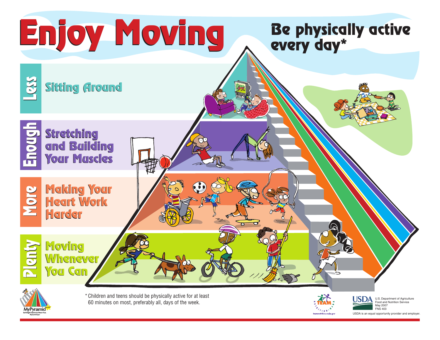

**\**ramio



May 2007 FNS 403 USDA is an equal opportunity provider and employer.